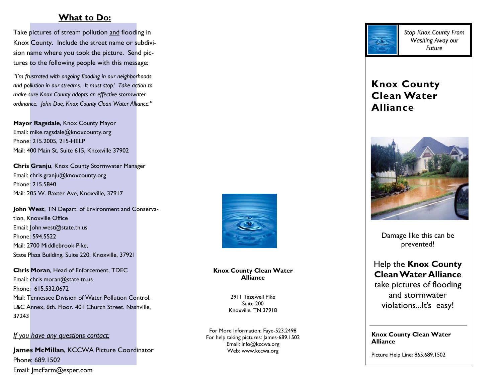## **What to Do:**

Take pictures of stream pollution and flooding in Knox County. Include the street name or subdivision name where you took the picture. Send pictures to the following people with this message:

*"I'm frustrated with ongoing flooding in our neighborhoods and pollution in our streams. It must stop! Take action to make sure Knox County adopts an effective stormwater ordinance. John Doe, Knox County Clean Water Alliance."* 

**Mayor Ragsdale**, Knox County Mayor Email: mike.ragsdale@knoxcounty.org Phone: 215.2005, 215-HELP Mail: 400 Main St, Suite 615, Knoxville 37902

**Chris Granju**, Knox County Stormwater Manager Email: chris.granju@knoxcounty.org Phone: 215.5840 Mail: 205 W. Baxter Ave, Knoxville, 37917

**John West**, TN Depart. of Environment and Conservation, Knoxville Office Email: John.west@state.tn.us Phone: 594.5522 Mail: 2700 Middlebrook Pike, State Plaza Building, Suite 220, Knoxville, 37921

**Chris Moran**, Head of Enforcement, TDEC Email: chris.moran@state.tn.us Phone: 615.532.0672 Mail: Tennessee Division of Water Pollution Control. L&C Annex, 6th. Floor. 401 Church Street. Nashville, 37243

*If you have any questions contact:*

**James McMillan**, KCCWA Picture Coordinator Phone: 689.1502 Email: JmcFarm@esper.com



#### **Knox County Clean Water Alliance**

2911 Tazewell Pike Suite 200 Knoxville, TN 37918

For More Information: Faye-523.2498 For help taking pictures: James-689.1502 Email: info@kccwa.org Web: www.kccwa.org



*Stop Knox County From Washing Away our Future* 

# **Knox County Clean Water Alliance**



Damage like this can be prevented!

# Help the **Knox County Clean Water Alliance** take pictures of flooding and stormwater violations...It's easy!

#### **Knox County Clean Water Alliance**

Picture Help Line: 865.689.1502